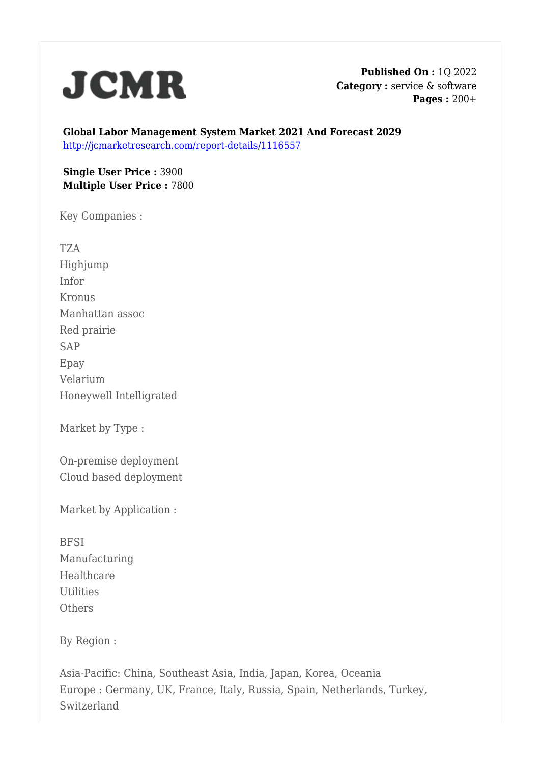

**Published On :** 1Q 2022 **Category :** service & software **Pages :** 200+

**Global Labor Management System Market 2021 And Forecast 2029** <http://jcmarketresearch.com/report-details/1116557>

**Single User Price :** 3900 **Multiple User Price :** 7800

Key Companies :

TZA Highjump Infor Kronus Manhattan assoc Red prairie SAP Epay Velarium Honeywell Intelligrated

Market by Type :

On-premise deployment Cloud based deployment

Market by Application :

**BFSI** Manufacturing Healthcare Utilities **Others** 

By Region :

Asia-Pacific: China, Southeast Asia, India, Japan, Korea, Oceania Europe : Germany, UK, France, Italy, Russia, Spain, Netherlands, Turkey, Switzerland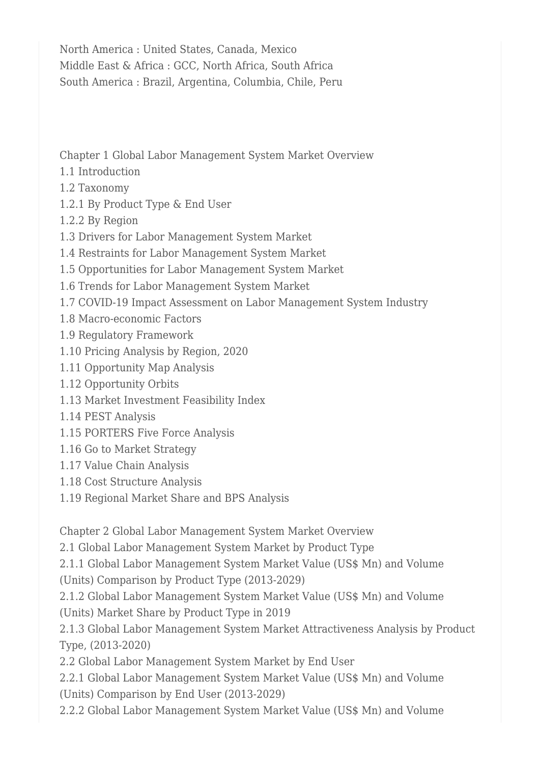North America : United States, Canada, Mexico Middle East & Africa : GCC, North Africa, South Africa South America : Brazil, Argentina, Columbia, Chile, Peru

Chapter 1 Global Labor Management System Market Overview

- 1.1 Introduction
- 1.2 Taxonomy
- 1.2.1 By Product Type & End User
- 1.2.2 By Region
- 1.3 Drivers for Labor Management System Market
- 1.4 Restraints for Labor Management System Market
- 1.5 Opportunities for Labor Management System Market
- 1.6 Trends for Labor Management System Market
- 1.7 COVID-19 Impact Assessment on Labor Management System Industry
- 1.8 Macro-economic Factors
- 1.9 Regulatory Framework
- 1.10 Pricing Analysis by Region, 2020
- 1.11 Opportunity Map Analysis
- 1.12 Opportunity Orbits
- 1.13 Market Investment Feasibility Index
- 1.14 PEST Analysis
- 1.15 PORTERS Five Force Analysis
- 1.16 Go to Market Strategy
- 1.17 Value Chain Analysis
- 1.18 Cost Structure Analysis
- 1.19 Regional Market Share and BPS Analysis

Chapter 2 Global Labor Management System Market Overview

2.1 Global Labor Management System Market by Product Type

2.1.1 Global Labor Management System Market Value (US\$ Mn) and Volume

(Units) Comparison by Product Type (2013-2029)

2.1.2 Global Labor Management System Market Value (US\$ Mn) and Volume (Units) Market Share by Product Type in 2019

2.1.3 Global Labor Management System Market Attractiveness Analysis by Product Type, (2013-2020)

2.2 Global Labor Management System Market by End User

2.2.1 Global Labor Management System Market Value (US\$ Mn) and Volume (Units) Comparison by End User (2013-2029)

2.2.2 Global Labor Management System Market Value (US\$ Mn) and Volume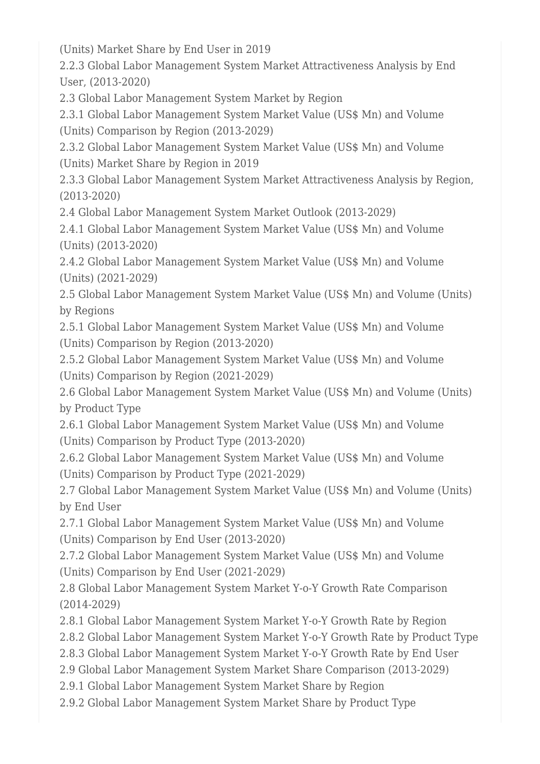(Units) Market Share by End User in 2019

2.2.3 Global Labor Management System Market Attractiveness Analysis by End User, (2013-2020)

2.3 Global Labor Management System Market by Region

2.3.1 Global Labor Management System Market Value (US\$ Mn) and Volume (Units) Comparison by Region (2013-2029)

2.3.2 Global Labor Management System Market Value (US\$ Mn) and Volume (Units) Market Share by Region in 2019

2.3.3 Global Labor Management System Market Attractiveness Analysis by Region, (2013-2020)

2.4 Global Labor Management System Market Outlook (2013-2029)

2.4.1 Global Labor Management System Market Value (US\$ Mn) and Volume (Units) (2013-2020)

2.4.2 Global Labor Management System Market Value (US\$ Mn) and Volume (Units) (2021-2029)

2.5 Global Labor Management System Market Value (US\$ Mn) and Volume (Units) by Regions

2.5.1 Global Labor Management System Market Value (US\$ Mn) and Volume (Units) Comparison by Region (2013-2020)

2.5.2 Global Labor Management System Market Value (US\$ Mn) and Volume (Units) Comparison by Region (2021-2029)

2.6 Global Labor Management System Market Value (US\$ Mn) and Volume (Units) by Product Type

2.6.1 Global Labor Management System Market Value (US\$ Mn) and Volume (Units) Comparison by Product Type (2013-2020)

2.6.2 Global Labor Management System Market Value (US\$ Mn) and Volume (Units) Comparison by Product Type (2021-2029)

2.7 Global Labor Management System Market Value (US\$ Mn) and Volume (Units) by End User

2.7.1 Global Labor Management System Market Value (US\$ Mn) and Volume (Units) Comparison by End User (2013-2020)

2.7.2 Global Labor Management System Market Value (US\$ Mn) and Volume (Units) Comparison by End User (2021-2029)

2.8 Global Labor Management System Market Y-o-Y Growth Rate Comparison (2014-2029)

2.8.1 Global Labor Management System Market Y-o-Y Growth Rate by Region

2.8.2 Global Labor Management System Market Y-o-Y Growth Rate by Product Type

2.8.3 Global Labor Management System Market Y-o-Y Growth Rate by End User

2.9 Global Labor Management System Market Share Comparison (2013-2029)

2.9.1 Global Labor Management System Market Share by Region

2.9.2 Global Labor Management System Market Share by Product Type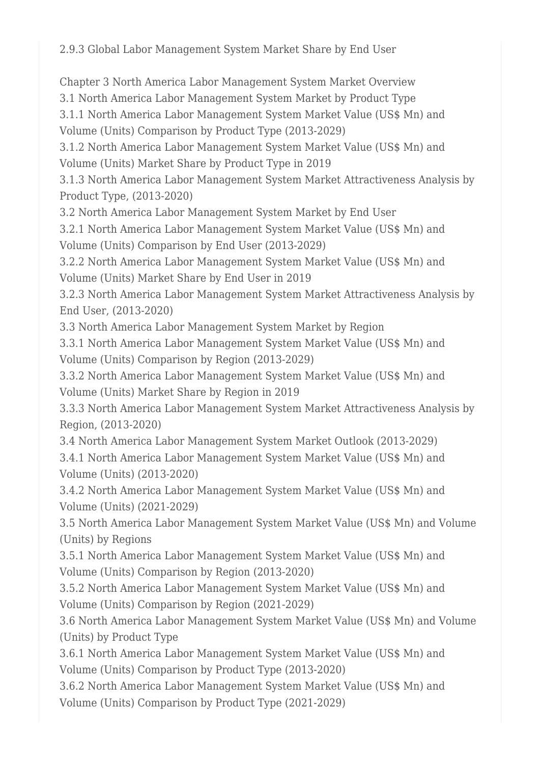2.9.3 Global Labor Management System Market Share by End User

Chapter 3 North America Labor Management System Market Overview

3.1 North America Labor Management System Market by Product Type

3.1.1 North America Labor Management System Market Value (US\$ Mn) and Volume (Units) Comparison by Product Type (2013-2029)

3.1.2 North America Labor Management System Market Value (US\$ Mn) and Volume (Units) Market Share by Product Type in 2019

3.1.3 North America Labor Management System Market Attractiveness Analysis by Product Type, (2013-2020)

3.2 North America Labor Management System Market by End User

3.2.1 North America Labor Management System Market Value (US\$ Mn) and Volume (Units) Comparison by End User (2013-2029)

3.2.2 North America Labor Management System Market Value (US\$ Mn) and Volume (Units) Market Share by End User in 2019

3.2.3 North America Labor Management System Market Attractiveness Analysis by End User, (2013-2020)

3.3 North America Labor Management System Market by Region

3.3.1 North America Labor Management System Market Value (US\$ Mn) and Volume (Units) Comparison by Region (2013-2029)

3.3.2 North America Labor Management System Market Value (US\$ Mn) and Volume (Units) Market Share by Region in 2019

3.3.3 North America Labor Management System Market Attractiveness Analysis by Region, (2013-2020)

3.4 North America Labor Management System Market Outlook (2013-2029) 3.4.1 North America Labor Management System Market Value (US\$ Mn) and Volume (Units) (2013-2020)

3.4.2 North America Labor Management System Market Value (US\$ Mn) and Volume (Units) (2021-2029)

3.5 North America Labor Management System Market Value (US\$ Mn) and Volume (Units) by Regions

3.5.1 North America Labor Management System Market Value (US\$ Mn) and Volume (Units) Comparison by Region (2013-2020)

3.5.2 North America Labor Management System Market Value (US\$ Mn) and Volume (Units) Comparison by Region (2021-2029)

3.6 North America Labor Management System Market Value (US\$ Mn) and Volume (Units) by Product Type

3.6.1 North America Labor Management System Market Value (US\$ Mn) and Volume (Units) Comparison by Product Type (2013-2020)

3.6.2 North America Labor Management System Market Value (US\$ Mn) and Volume (Units) Comparison by Product Type (2021-2029)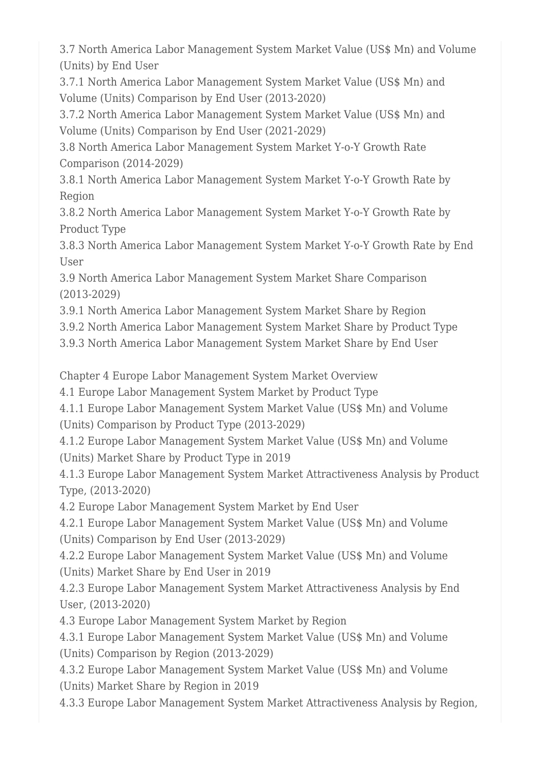3.7 North America Labor Management System Market Value (US\$ Mn) and Volume (Units) by End User

3.7.1 North America Labor Management System Market Value (US\$ Mn) and Volume (Units) Comparison by End User (2013-2020)

3.7.2 North America Labor Management System Market Value (US\$ Mn) and Volume (Units) Comparison by End User (2021-2029)

3.8 North America Labor Management System Market Y-o-Y Growth Rate Comparison (2014-2029)

3.8.1 North America Labor Management System Market Y-o-Y Growth Rate by Region

3.8.2 North America Labor Management System Market Y-o-Y Growth Rate by Product Type

3.8.3 North America Labor Management System Market Y-o-Y Growth Rate by End User

3.9 North America Labor Management System Market Share Comparison (2013-2029)

3.9.1 North America Labor Management System Market Share by Region

3.9.2 North America Labor Management System Market Share by Product Type

3.9.3 North America Labor Management System Market Share by End User

Chapter 4 Europe Labor Management System Market Overview

4.1 Europe Labor Management System Market by Product Type

4.1.1 Europe Labor Management System Market Value (US\$ Mn) and Volume (Units) Comparison by Product Type (2013-2029)

4.1.2 Europe Labor Management System Market Value (US\$ Mn) and Volume (Units) Market Share by Product Type in 2019

4.1.3 Europe Labor Management System Market Attractiveness Analysis by Product Type, (2013-2020)

4.2 Europe Labor Management System Market by End User

4.2.1 Europe Labor Management System Market Value (US\$ Mn) and Volume (Units) Comparison by End User (2013-2029)

4.2.2 Europe Labor Management System Market Value (US\$ Mn) and Volume (Units) Market Share by End User in 2019

4.2.3 Europe Labor Management System Market Attractiveness Analysis by End User, (2013-2020)

4.3 Europe Labor Management System Market by Region

4.3.1 Europe Labor Management System Market Value (US\$ Mn) and Volume (Units) Comparison by Region (2013-2029)

4.3.2 Europe Labor Management System Market Value (US\$ Mn) and Volume (Units) Market Share by Region in 2019

4.3.3 Europe Labor Management System Market Attractiveness Analysis by Region,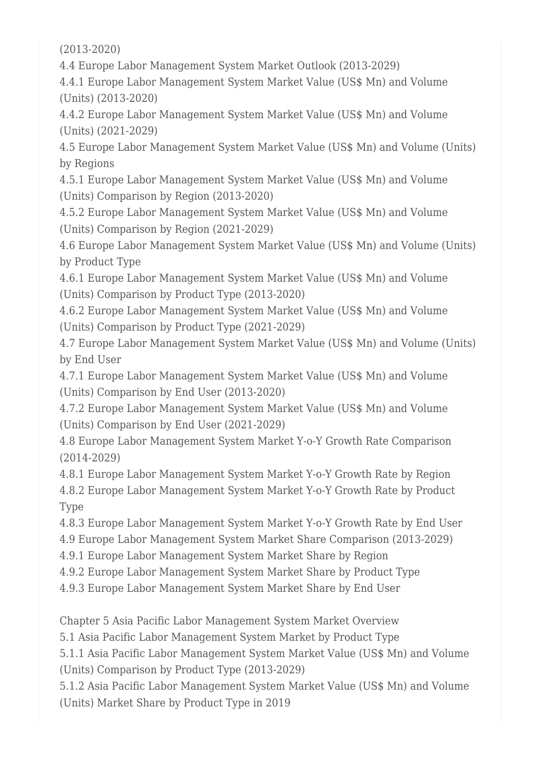(2013-2020)

4.4 Europe Labor Management System Market Outlook (2013-2029)

4.4.1 Europe Labor Management System Market Value (US\$ Mn) and Volume (Units) (2013-2020)

4.4.2 Europe Labor Management System Market Value (US\$ Mn) and Volume (Units) (2021-2029)

4.5 Europe Labor Management System Market Value (US\$ Mn) and Volume (Units) by Regions

4.5.1 Europe Labor Management System Market Value (US\$ Mn) and Volume (Units) Comparison by Region (2013-2020)

4.5.2 Europe Labor Management System Market Value (US\$ Mn) and Volume (Units) Comparison by Region (2021-2029)

4.6 Europe Labor Management System Market Value (US\$ Mn) and Volume (Units) by Product Type

4.6.1 Europe Labor Management System Market Value (US\$ Mn) and Volume (Units) Comparison by Product Type (2013-2020)

4.6.2 Europe Labor Management System Market Value (US\$ Mn) and Volume (Units) Comparison by Product Type (2021-2029)

4.7 Europe Labor Management System Market Value (US\$ Mn) and Volume (Units) by End User

4.7.1 Europe Labor Management System Market Value (US\$ Mn) and Volume (Units) Comparison by End User (2013-2020)

4.7.2 Europe Labor Management System Market Value (US\$ Mn) and Volume (Units) Comparison by End User (2021-2029)

4.8 Europe Labor Management System Market Y-o-Y Growth Rate Comparison (2014-2029)

4.8.1 Europe Labor Management System Market Y-o-Y Growth Rate by Region 4.8.2 Europe Labor Management System Market Y-o-Y Growth Rate by Product Type

4.8.3 Europe Labor Management System Market Y-o-Y Growth Rate by End User

4.9 Europe Labor Management System Market Share Comparison (2013-2029)

4.9.1 Europe Labor Management System Market Share by Region

4.9.2 Europe Labor Management System Market Share by Product Type

4.9.3 Europe Labor Management System Market Share by End User

Chapter 5 Asia Pacific Labor Management System Market Overview

5.1 Asia Pacific Labor Management System Market by Product Type

5.1.1 Asia Pacific Labor Management System Market Value (US\$ Mn) and Volume (Units) Comparison by Product Type (2013-2029)

5.1.2 Asia Pacific Labor Management System Market Value (US\$ Mn) and Volume (Units) Market Share by Product Type in 2019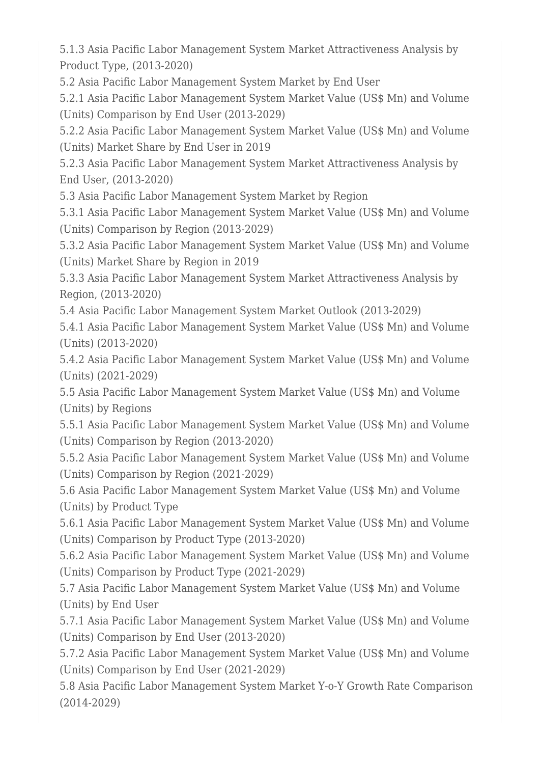5.1.3 Asia Pacific Labor Management System Market Attractiveness Analysis by Product Type, (2013-2020)

5.2 Asia Pacific Labor Management System Market by End User

5.2.1 Asia Pacific Labor Management System Market Value (US\$ Mn) and Volume (Units) Comparison by End User (2013-2029)

5.2.2 Asia Pacific Labor Management System Market Value (US\$ Mn) and Volume (Units) Market Share by End User in 2019

5.2.3 Asia Pacific Labor Management System Market Attractiveness Analysis by End User, (2013-2020)

5.3 Asia Pacific Labor Management System Market by Region

5.3.1 Asia Pacific Labor Management System Market Value (US\$ Mn) and Volume (Units) Comparison by Region (2013-2029)

5.3.2 Asia Pacific Labor Management System Market Value (US\$ Mn) and Volume (Units) Market Share by Region in 2019

5.3.3 Asia Pacific Labor Management System Market Attractiveness Analysis by Region, (2013-2020)

5.4 Asia Pacific Labor Management System Market Outlook (2013-2029)

5.4.1 Asia Pacific Labor Management System Market Value (US\$ Mn) and Volume (Units) (2013-2020)

5.4.2 Asia Pacific Labor Management System Market Value (US\$ Mn) and Volume (Units) (2021-2029)

5.5 Asia Pacific Labor Management System Market Value (US\$ Mn) and Volume (Units) by Regions

5.5.1 Asia Pacific Labor Management System Market Value (US\$ Mn) and Volume (Units) Comparison by Region (2013-2020)

5.5.2 Asia Pacific Labor Management System Market Value (US\$ Mn) and Volume (Units) Comparison by Region (2021-2029)

5.6 Asia Pacific Labor Management System Market Value (US\$ Mn) and Volume (Units) by Product Type

5.6.1 Asia Pacific Labor Management System Market Value (US\$ Mn) and Volume (Units) Comparison by Product Type (2013-2020)

5.6.2 Asia Pacific Labor Management System Market Value (US\$ Mn) and Volume (Units) Comparison by Product Type (2021-2029)

5.7 Asia Pacific Labor Management System Market Value (US\$ Mn) and Volume (Units) by End User

5.7.1 Asia Pacific Labor Management System Market Value (US\$ Mn) and Volume (Units) Comparison by End User (2013-2020)

5.7.2 Asia Pacific Labor Management System Market Value (US\$ Mn) and Volume (Units) Comparison by End User (2021-2029)

5.8 Asia Pacific Labor Management System Market Y-o-Y Growth Rate Comparison (2014-2029)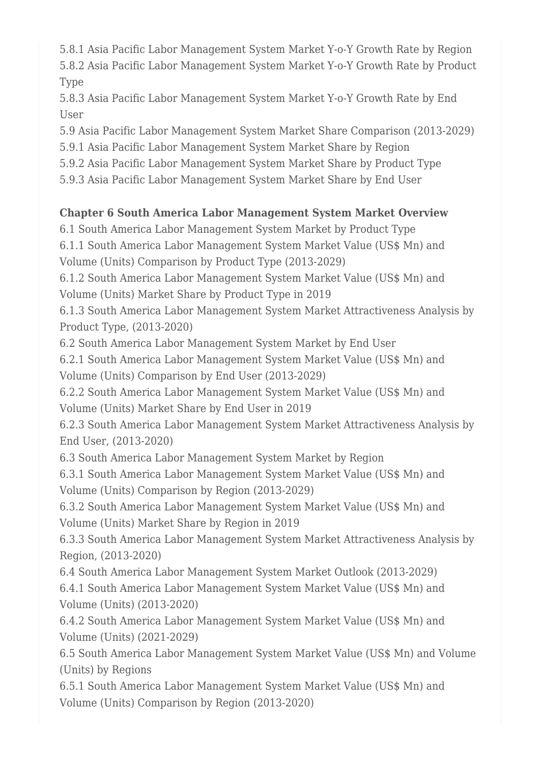5.8.1 Asia Pacific Labor Management System Market Y-o-Y Growth Rate by Region

5.8.2 Asia Pacific Labor Management System Market Y-o-Y Growth Rate by Product Type

5.8.3 Asia Pacific Labor Management System Market Y-o-Y Growth Rate by End User

5.9 Asia Pacific Labor Management System Market Share Comparison (2013-2029)

5.9.1 Asia Pacific Labor Management System Market Share by Region

5.9.2 Asia Pacific Labor Management System Market Share by Product Type

5.9.3 Asia Pacific Labor Management System Market Share by End User

## **Chapter 6 South America Labor Management System Market Overview**

6.1 South America Labor Management System Market by Product Type

6.1.1 South America Labor Management System Market Value (US\$ Mn) and Volume (Units) Comparison by Product Type (2013-2029)

6.1.2 South America Labor Management System Market Value (US\$ Mn) and Volume (Units) Market Share by Product Type in 2019

6.1.3 South America Labor Management System Market Attractiveness Analysis by Product Type, (2013-2020)

6.2 South America Labor Management System Market by End User

6.2.1 South America Labor Management System Market Value (US\$ Mn) and Volume (Units) Comparison by End User (2013-2029)

6.2.2 South America Labor Management System Market Value (US\$ Mn) and Volume (Units) Market Share by End User in 2019

6.2.3 South America Labor Management System Market Attractiveness Analysis by End User, (2013-2020)

6.3 South America Labor Management System Market by Region

6.3.1 South America Labor Management System Market Value (US\$ Mn) and Volume (Units) Comparison by Region (2013-2029)

6.3.2 South America Labor Management System Market Value (US\$ Mn) and Volume (Units) Market Share by Region in 2019

6.3.3 South America Labor Management System Market Attractiveness Analysis by Region, (2013-2020)

6.4 South America Labor Management System Market Outlook (2013-2029)

6.4.1 South America Labor Management System Market Value (US\$ Mn) and Volume (Units) (2013-2020)

6.4.2 South America Labor Management System Market Value (US\$ Mn) and Volume (Units) (2021-2029)

6.5 South America Labor Management System Market Value (US\$ Mn) and Volume (Units) by Regions

6.5.1 South America Labor Management System Market Value (US\$ Mn) and Volume (Units) Comparison by Region (2013-2020)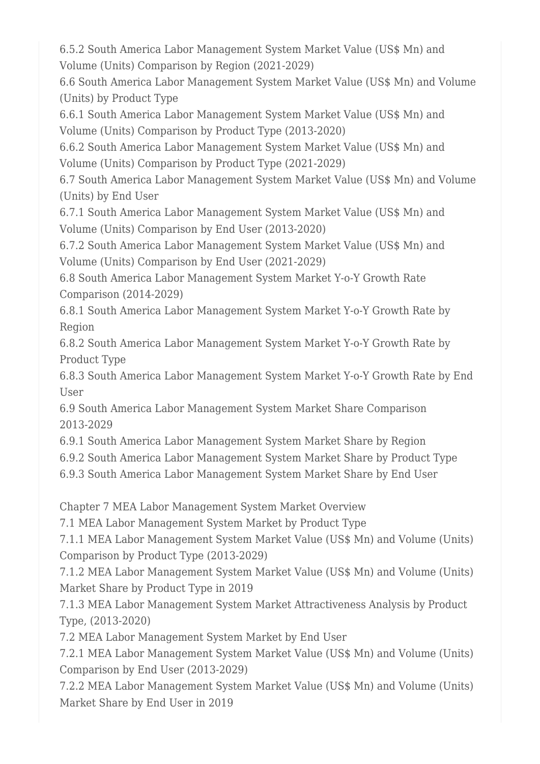6.5.2 South America Labor Management System Market Value (US\$ Mn) and Volume (Units) Comparison by Region (2021-2029)

6.6 South America Labor Management System Market Value (US\$ Mn) and Volume (Units) by Product Type

6.6.1 South America Labor Management System Market Value (US\$ Mn) and Volume (Units) Comparison by Product Type (2013-2020)

6.6.2 South America Labor Management System Market Value (US\$ Mn) and Volume (Units) Comparison by Product Type (2021-2029)

6.7 South America Labor Management System Market Value (US\$ Mn) and Volume (Units) by End User

6.7.1 South America Labor Management System Market Value (US\$ Mn) and Volume (Units) Comparison by End User (2013-2020)

6.7.2 South America Labor Management System Market Value (US\$ Mn) and Volume (Units) Comparison by End User (2021-2029)

6.8 South America Labor Management System Market Y-o-Y Growth Rate Comparison (2014-2029)

6.8.1 South America Labor Management System Market Y-o-Y Growth Rate by Region

6.8.2 South America Labor Management System Market Y-o-Y Growth Rate by Product Type

6.8.3 South America Labor Management System Market Y-o-Y Growth Rate by End User

6.9 South America Labor Management System Market Share Comparison 2013-2029

6.9.1 South America Labor Management System Market Share by Region

6.9.2 South America Labor Management System Market Share by Product Type

6.9.3 South America Labor Management System Market Share by End User

Chapter 7 MEA Labor Management System Market Overview

7.1 MEA Labor Management System Market by Product Type

7.1.1 MEA Labor Management System Market Value (US\$ Mn) and Volume (Units) Comparison by Product Type (2013-2029)

7.1.2 MEA Labor Management System Market Value (US\$ Mn) and Volume (Units) Market Share by Product Type in 2019

7.1.3 MEA Labor Management System Market Attractiveness Analysis by Product Type, (2013-2020)

7.2 MEA Labor Management System Market by End User

7.2.1 MEA Labor Management System Market Value (US\$ Mn) and Volume (Units) Comparison by End User (2013-2029)

7.2.2 MEA Labor Management System Market Value (US\$ Mn) and Volume (Units) Market Share by End User in 2019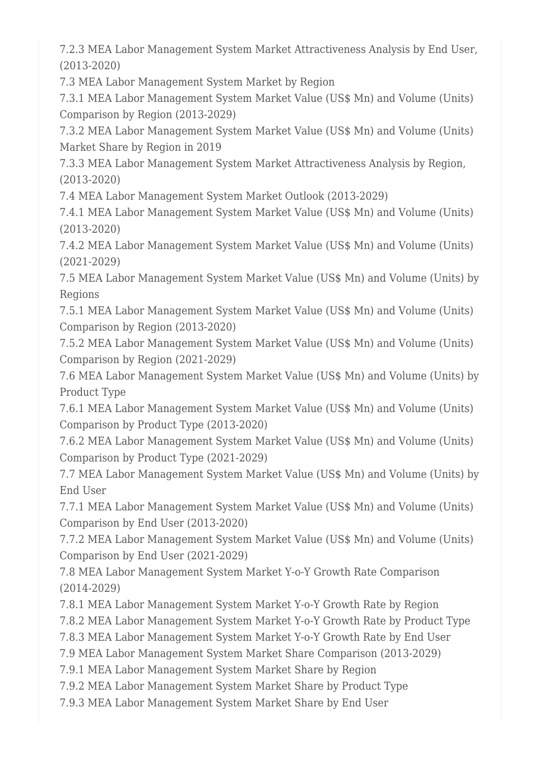7.2.3 MEA Labor Management System Market Attractiveness Analysis by End User, (2013-2020)

7.3 MEA Labor Management System Market by Region

7.3.1 MEA Labor Management System Market Value (US\$ Mn) and Volume (Units) Comparison by Region (2013-2029)

7.3.2 MEA Labor Management System Market Value (US\$ Mn) and Volume (Units) Market Share by Region in 2019

7.3.3 MEA Labor Management System Market Attractiveness Analysis by Region, (2013-2020)

7.4 MEA Labor Management System Market Outlook (2013-2029)

7.4.1 MEA Labor Management System Market Value (US\$ Mn) and Volume (Units) (2013-2020)

7.4.2 MEA Labor Management System Market Value (US\$ Mn) and Volume (Units) (2021-2029)

7.5 MEA Labor Management System Market Value (US\$ Mn) and Volume (Units) by Regions

7.5.1 MEA Labor Management System Market Value (US\$ Mn) and Volume (Units) Comparison by Region (2013-2020)

7.5.2 MEA Labor Management System Market Value (US\$ Mn) and Volume (Units) Comparison by Region (2021-2029)

7.6 MEA Labor Management System Market Value (US\$ Mn) and Volume (Units) by Product Type

7.6.1 MEA Labor Management System Market Value (US\$ Mn) and Volume (Units) Comparison by Product Type (2013-2020)

7.6.2 MEA Labor Management System Market Value (US\$ Mn) and Volume (Units) Comparison by Product Type (2021-2029)

7.7 MEA Labor Management System Market Value (US\$ Mn) and Volume (Units) by End User

7.7.1 MEA Labor Management System Market Value (US\$ Mn) and Volume (Units) Comparison by End User (2013-2020)

7.7.2 MEA Labor Management System Market Value (US\$ Mn) and Volume (Units) Comparison by End User (2021-2029)

7.8 MEA Labor Management System Market Y-o-Y Growth Rate Comparison (2014-2029)

7.8.1 MEA Labor Management System Market Y-o-Y Growth Rate by Region

7.8.2 MEA Labor Management System Market Y-o-Y Growth Rate by Product Type

7.8.3 MEA Labor Management System Market Y-o-Y Growth Rate by End User

7.9 MEA Labor Management System Market Share Comparison (2013-2029)

7.9.1 MEA Labor Management System Market Share by Region

7.9.2 MEA Labor Management System Market Share by Product Type

7.9.3 MEA Labor Management System Market Share by End User